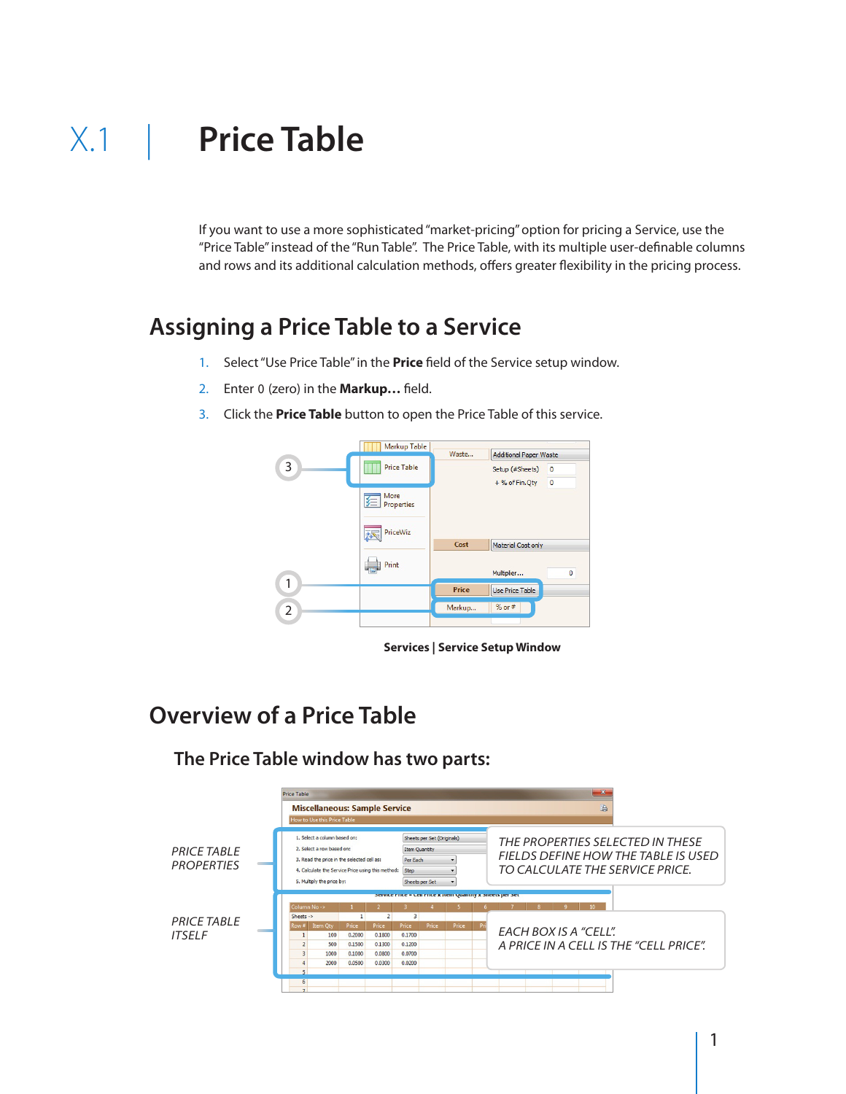If you want to use a more sophisticated "market-pricing" option for pricing a Service, use the "Price Table" instead of the "Run Table". The Price Table, with its multiple user-definable columns and rows and its additional calculation methods, offers greater flexibility in the pricing process.

### **Assigning a Price Table to a Service**

- 1. Select "Use Price Table" in the **Price** field of the Service setup window.
- 2. Enter 0 (zero) in the **Markup…** field.
- 3. Click the **Price Table** button to open the Price Table of this service.



**Services | Service Setup Window**

### **Overview of a Price Table**

**The Price Table window has two parts:**

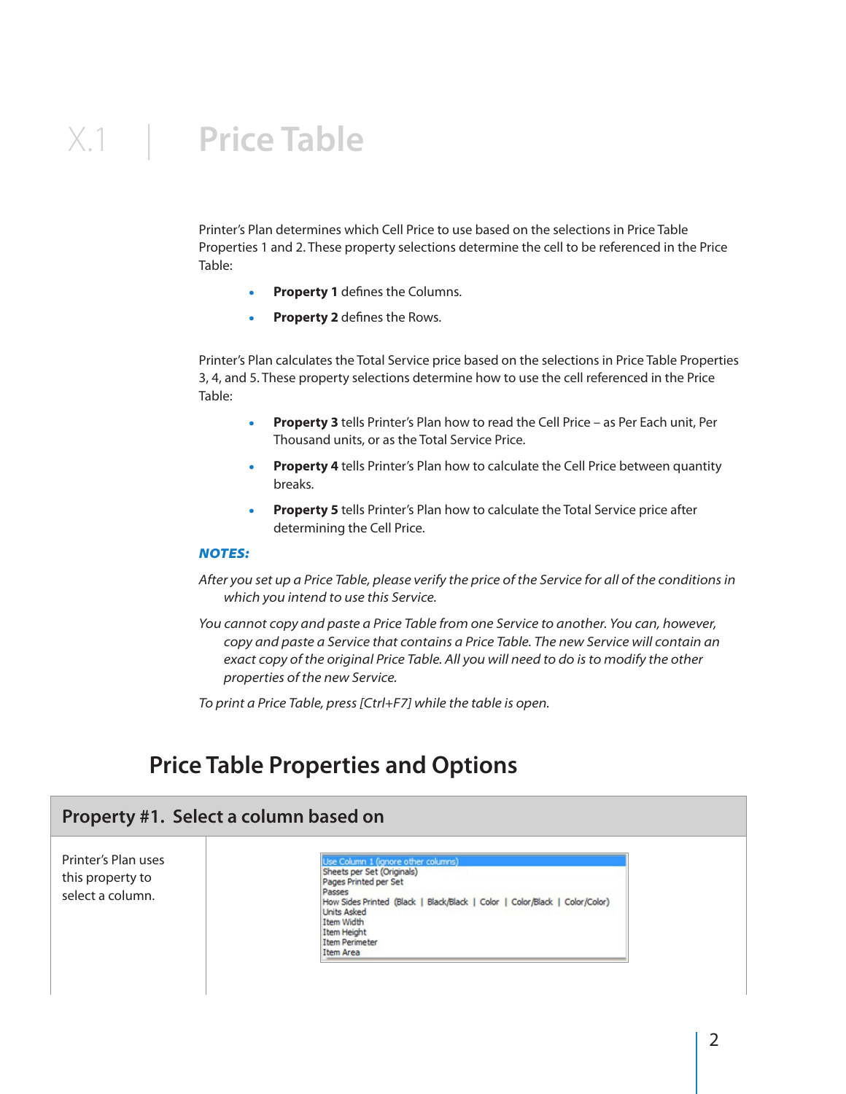Printer's Plan determines which Cell Price to use based on the selections in Price Table Properties 1 and 2. These property selections determine the cell to be referenced in the Price Table:

- . **Property 1** defines the Columns.
- . **Property 2** defines the Rows.

Printer's Plan calculates the Total Service price based on the selections in Price Table Properties 3, 4, and 5. These property selections determine how to use the cell referenced in the Price Table:

- **Property 3** tells Printer's Plan how to read the Cell Price as Per Each unit, Per Thousand units, or as the Total Service Price.
- . **Property 4** tells Printer's Plan how to calculate the Cell Price between quantity breaks.
- **Property 5** tells Printer's Plan how to calculate the Total Service price after determining the Cell Price.

### *Notes:*

- *After you set up a Price Table, please verify the price of the Service for all of the conditions in which you intend to use this Service.*
- *You cannot copy and paste a Price Table from one Service to another. You can, however, copy and paste a Service that contains a Price Table. The new Service will contain an exact copy of the original Price Table. All you will need to do is to modify the other properties of the new Service.*

*To print a Price Table, press [Ctrl+F7] while the table is open.*

### **Price Table Properties and Options**

### **Property #1. Select a column based on**

Printer's Plan uses this property to select a column.

Sheets per Set (Originals) Pages Printed per Set Passes How Sides Printed (Black | Black/Black | Color | Color/Black | Color/Color) **Units Asked** Item Width Item Height Item Perimeter Item Area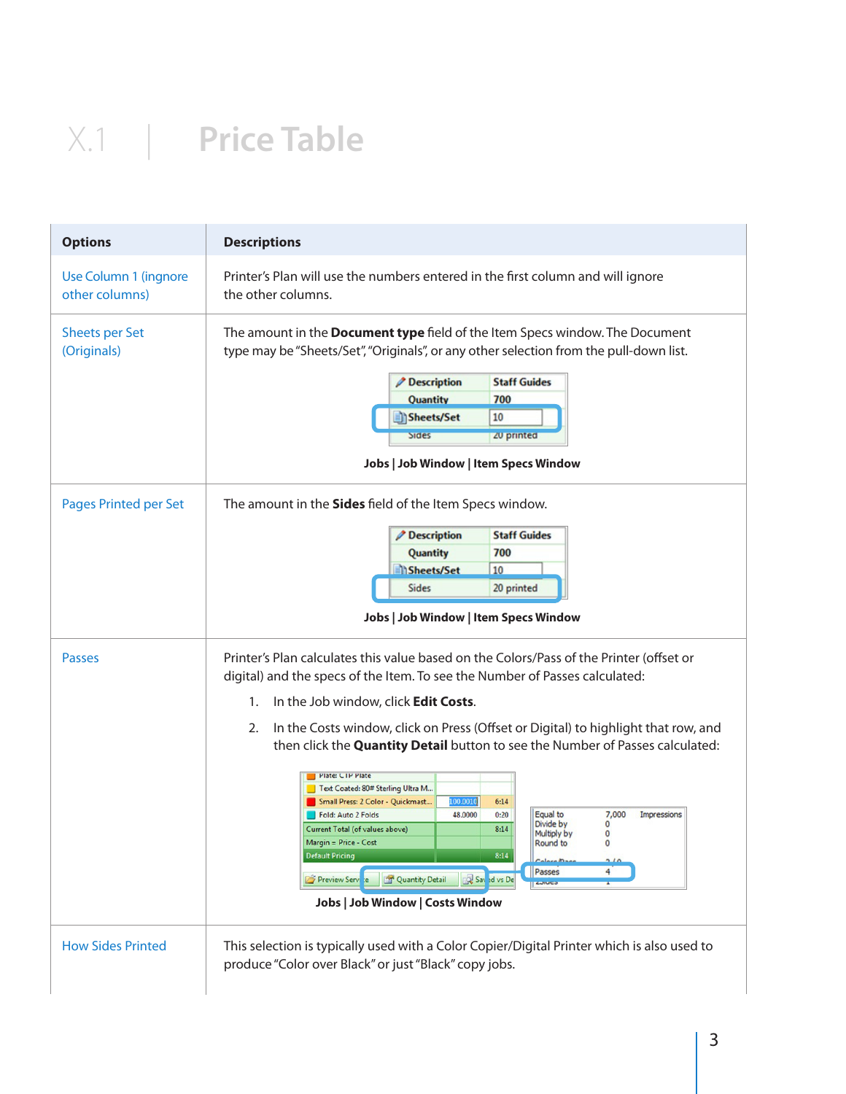| <b>Options</b>                          | <b>Descriptions</b>                                                                                                                                                                                                                                                                                                                                                                                                                                                                                                                                                                                                                                                                                                                                                                                                                                                                     |
|-----------------------------------------|-----------------------------------------------------------------------------------------------------------------------------------------------------------------------------------------------------------------------------------------------------------------------------------------------------------------------------------------------------------------------------------------------------------------------------------------------------------------------------------------------------------------------------------------------------------------------------------------------------------------------------------------------------------------------------------------------------------------------------------------------------------------------------------------------------------------------------------------------------------------------------------------|
| Use Column 1 (ingnore<br>other columns) | Printer's Plan will use the numbers entered in the first column and will ignore<br>the other columns.                                                                                                                                                                                                                                                                                                                                                                                                                                                                                                                                                                                                                                                                                                                                                                                   |
| <b>Sheets per Set</b><br>(Originals)    | The amount in the Document type field of the Item Specs window. The Document<br>type may be "Sheets/Set", "Originals", or any other selection from the pull-down list.<br><b><i>Description</i></b><br><b>Staff Guides</b><br>Quantity<br>700<br>Sheets/Set<br>10<br>zu printed<br><b>Sapic</b><br>Jobs   Job Window   Item Specs Window                                                                                                                                                                                                                                                                                                                                                                                                                                                                                                                                                |
| Pages Printed per Set                   | The amount in the Sides field of the Item Specs window.<br><b><i>Description</i></b><br><b>Staff Guides</b><br>700<br>Quantity<br>hSheets/Set<br>10<br><b>Sides</b><br>20 printed<br><b>Jobs   Job Window   Item Specs Window</b>                                                                                                                                                                                                                                                                                                                                                                                                                                                                                                                                                                                                                                                       |
| <b>Passes</b>                           | Printer's Plan calculates this value based on the Colors/Pass of the Printer (offset or<br>digital) and the specs of the Item. To see the Number of Passes calculated:<br>In the Job window, click Edit Costs.<br>1.<br>In the Costs window, click on Press (Offset or Digital) to highlight that row, and<br>2.<br>then click the <b>Quantity Detail</b> button to see the Number of Passes calculated:<br>Plate: CTP Plate<br>Text Coated: 80# Sterling Ultra M<br>100.0010<br>Small Press: 2 Color - Quickmast<br>6:14<br>7,000<br>Fold: Auto 2 Folds<br>48.0000<br>0:20<br>Equal to<br>Impressions<br>Divide by<br>0<br>8:14<br>Current Total (of values above)<br>Multiply by<br>0<br>Margin = Price - Cost<br>Round to<br><b>Default Pricing</b><br>8:14<br>4<br>Passes<br>Quantity Detail<br>Saved vs De<br>Preview Service<br>conveo<br><b>Jobs   Job Window   Costs Window</b> |
| <b>How Sides Printed</b>                | This selection is typically used with a Color Copier/Digital Printer which is also used to<br>produce "Color over Black" or just "Black" copy jobs.                                                                                                                                                                                                                                                                                                                                                                                                                                                                                                                                                                                                                                                                                                                                     |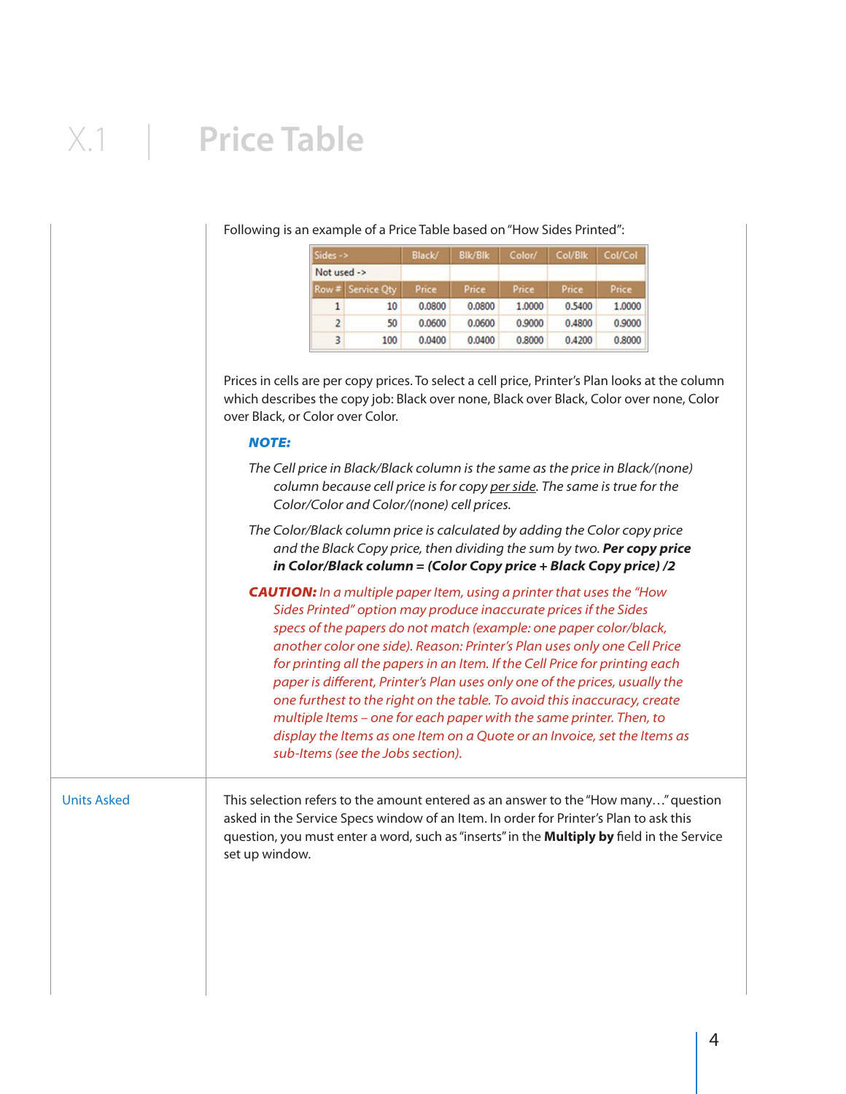Following is an example of a Price Table based on "How Sides Printed":

| Sides ->       |                   | Blk/Blk<br>Color/<br>Black/ |        |        | Col/Blk   Col/Col |        |
|----------------|-------------------|-----------------------------|--------|--------|-------------------|--------|
| Not used ->    |                   |                             |        |        |                   |        |
|                | Row # Service Qty | Price                       | Price  | Price  | Price             | Price  |
|                | 10                | 0.0800                      | 0.0800 | 1,0000 | 0.5400            | 1.0000 |
| $\overline{2}$ | 50                | 0.0600                      | 0.0600 | 0.9000 | 0.4800            | 0.9000 |
| 3              | 100               | 0.0400                      | 0.0400 | 0.8000 | 0.4200            | 0.8000 |

Prices in cells are per copy prices. To select a cell price, Printer's Plan looks at the column which describes the copy job: Black over none, Black over Black, Color over none, Color over Black, or Color over Color.

### *Note:*

- *The Cell price in Black/Black column is the same as the price in Black/(none) column because cell price is for copy per side. The same is true for the Color/Color and Color/(none) cell prices.*
- *The Color/Black column price is calculated by adding the Color copy price and the Black Copy price, then dividing the sum by two. Per copy price in Color/Black column = (Color Copy price + Black Copy price) /2*

*CAUTION: In a multiple paper Item, using a printer that uses the "How Sides Printed" option may produce inaccurate prices if the Sides specs of the papers do not match (example: one paper color/black, another color one side). Reason: Printer's Plan uses only one Cell Price for printing all the papers in an Item. If the Cell Price for printing each paper is different, Printer's Plan uses only one of the prices, usually the one furthest to the right on the table. To avoid this inaccuracy, create multiple Items – one for each paper with the same printer. Then, to display the Items as one Item on a Quote or an Invoice, set the Items as sub-Items (see the Jobs section).*

Units Asked This selection refers to the amount entered as an answer to the "How many…" question asked in the Service Specs window of an Item. In order for Printer's Plan to ask this question, you must enter a word, such as "inserts" in the **Multiply by** field in the Service set up window.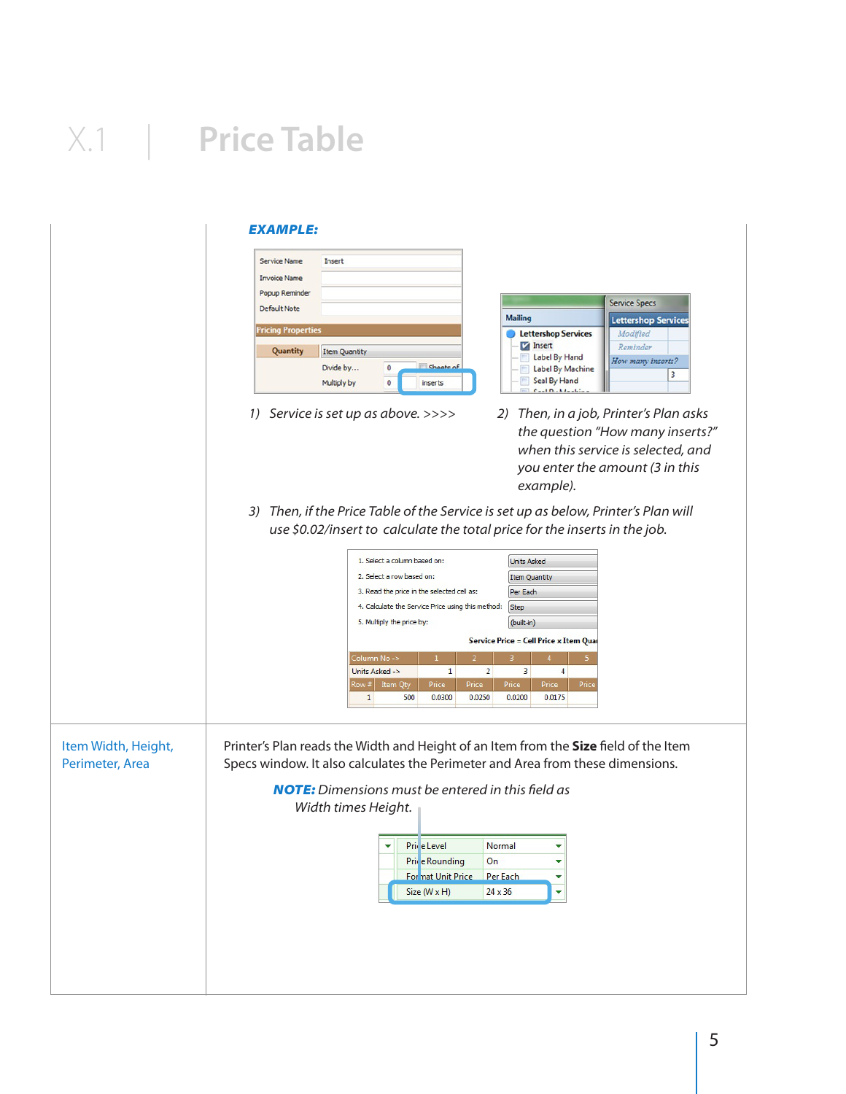### *Example:* Service Name Insert **Invoice Name** Popup Reminder Service Specs Default Note **Mailing** Lettershop Service 'ricing Properti Modified Lettershop Services  $\blacksquare$  Insert Reminder Quantity Item Quantity Label By Hand How many inserts? Divide by...  $\pmb{\mathsf{o}}$ **Label By Machine**  $\overline{\mathbf{3}}$ Seal By Hand Multiply by  $\pmb{\mathsf{o}}$ inserts Cast Ducklash *1) Service is set up as above. >>>> 2) Then, in a job, Printer's Plan asks the question "How many inserts?" when this service is selected, and you enter the amount (3 in this example). 3) Then, if the Price Table of the Service is set up as below, Printer's Plan will use \$0.02/insert to calculate the total price for the inserts in the job.* 1. Select a column based on: **Units Asked** 2. Select a row based on: **Item Quantity** 3. Read the price in the selected cell as: Per Each 4. Calculate the Service Price using this method: Step 5. Multiply the price by: (built-in) Service Price = Cell Price x Item Qu ımn No -Units Asked ->  $\mathbf{1}$  $2$  $\overline{3}$  $\overline{4}$ 500  $0.0300$ 0.0250  $0.0200$  $0.0175$  $1$ Item Width, Height, Printer's Plan reads the Width and Height of an Item from the **Size** field of the Item Perimeter, Area Specs window. It also calculates the Perimeter and Area from these dimensions. *Note: Dimensions must be entered in this field as Width times Height.* Price Level Normal ÷ Price Rounding On ÷ For nat Unit Price Per Each ÷ Size (W x H)  $24 \times 36$ ÷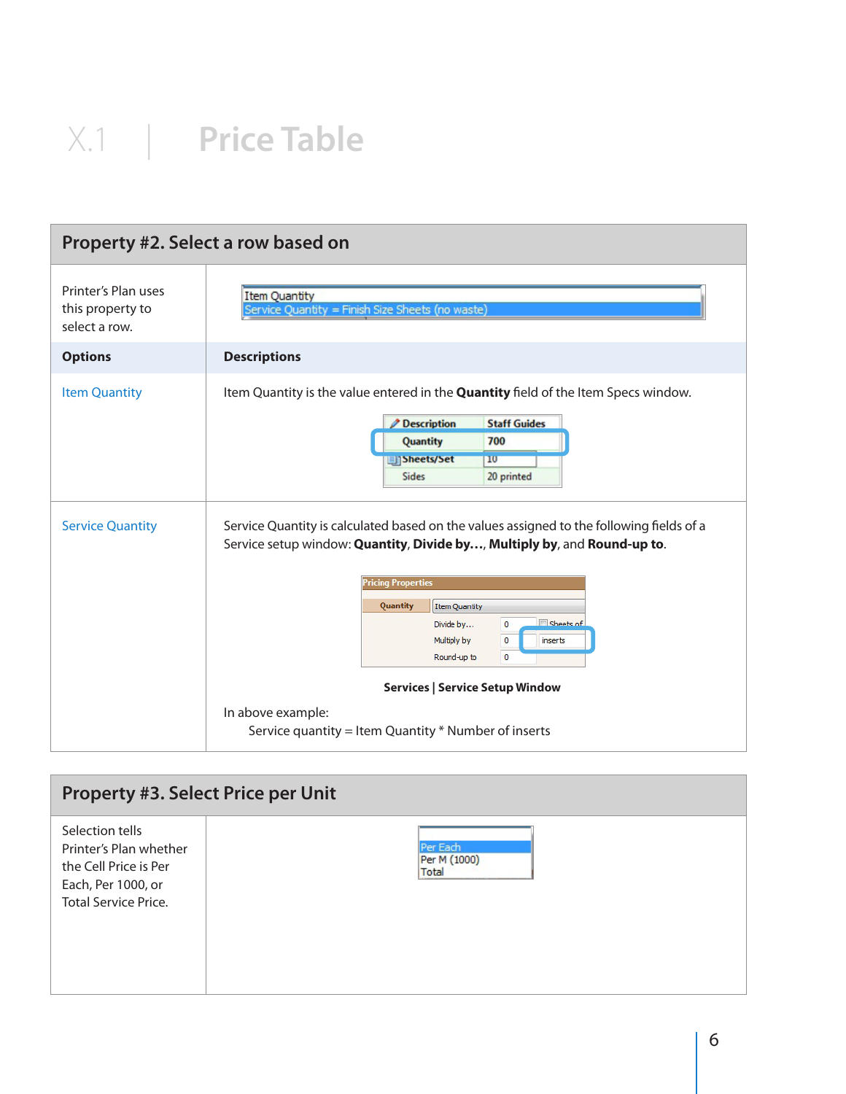| Property #2. Select a row based on                       |                                                                                                                                                                                                                                                                                                                                                                                                                                                           |  |  |  |  |  |
|----------------------------------------------------------|-----------------------------------------------------------------------------------------------------------------------------------------------------------------------------------------------------------------------------------------------------------------------------------------------------------------------------------------------------------------------------------------------------------------------------------------------------------|--|--|--|--|--|
| Printer's Plan uses<br>this property to<br>select a row. | <b>Item Quantity</b><br>Service Quantity = Finish Size Sheets (no waste)                                                                                                                                                                                                                                                                                                                                                                                  |  |  |  |  |  |
| <b>Options</b>                                           | <b>Descriptions</b>                                                                                                                                                                                                                                                                                                                                                                                                                                       |  |  |  |  |  |
| <b>Item Quantity</b>                                     | Item Quantity is the value entered in the Quantity field of the Item Specs window.<br><b>Description</b><br><b>Staff Guides</b><br>Quantity<br>700<br>Sheets/Set<br>10<br><b>Sides</b><br>20 printed                                                                                                                                                                                                                                                      |  |  |  |  |  |
| <b>Service Quantity</b>                                  | Service Quantity is calculated based on the values assigned to the following fields of a<br>Service setup window: Quantity, Divide by, Multiply by, and Round-up to.<br>Pricing Properties<br>Quantity<br><b>Item Quantity</b><br>Sheets of<br>Divide by<br>$\circ$<br>Multiply by<br>$\circ$<br>inserts<br>Round-up to<br>$\circ$<br><b>Services   Service Setup Window</b><br>In above example:<br>Service quantity = Item Quantity * Number of inserts |  |  |  |  |  |

| <b>Property #3. Select Price per Unit</b>                                                                               |                                   |  |  |  |  |
|-------------------------------------------------------------------------------------------------------------------------|-----------------------------------|--|--|--|--|
| Selection tells<br>Printer's Plan whether<br>the Cell Price is Per<br>Each, Per 1000, or<br><b>Total Service Price.</b> | Per Each<br>Per M (1000)<br>Total |  |  |  |  |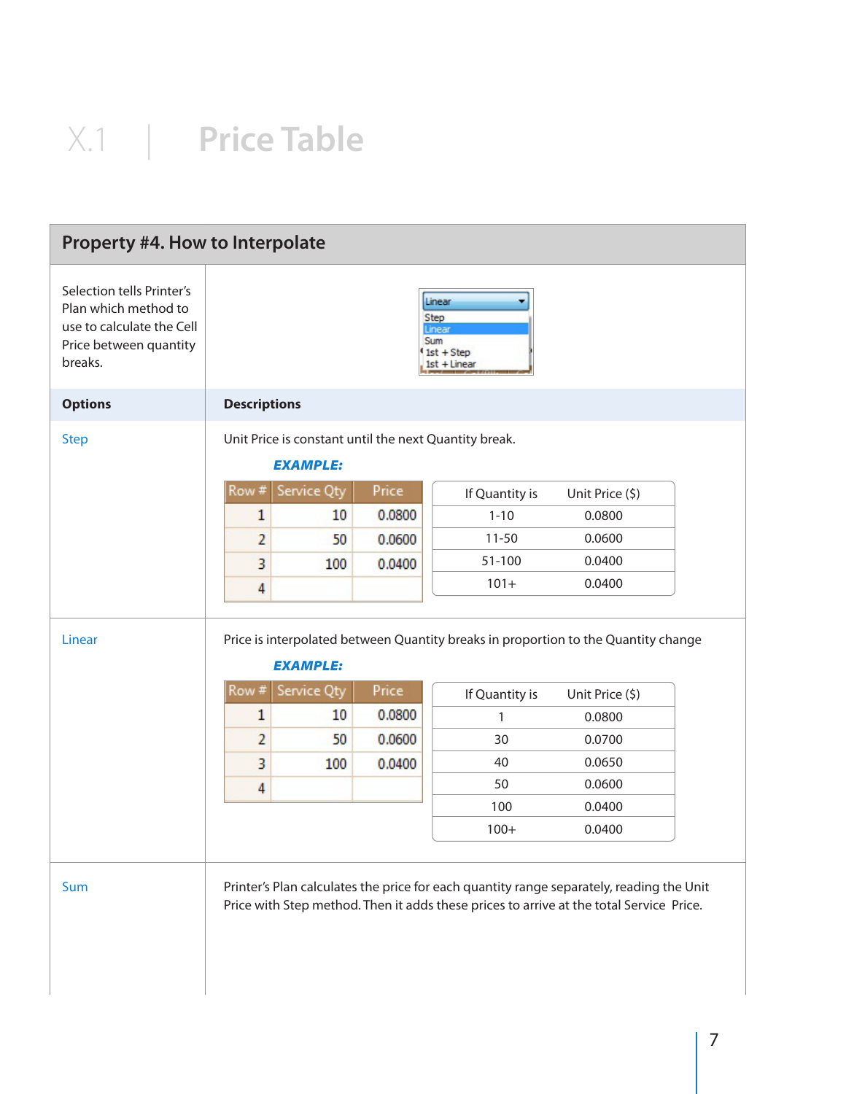| Property #4. How to Interpolate                                                                                     |                                                                        |                                |                                                       |                     |                                                                                    |  |  |
|---------------------------------------------------------------------------------------------------------------------|------------------------------------------------------------------------|--------------------------------|-------------------------------------------------------|---------------------|------------------------------------------------------------------------------------|--|--|
| Selection tells Printer's<br>Plan which method to<br>use to calculate the Cell<br>Price between quantity<br>breaks. | Linear<br><b>Step</b><br>Linear<br>Sum<br>$1st + Step$<br>1st + Linear |                                |                                                       |                     |                                                                                    |  |  |
| <b>Options</b>                                                                                                      | <b>Descriptions</b>                                                    |                                |                                                       |                     |                                                                                    |  |  |
| <b>Step</b>                                                                                                         |                                                                        | <b>EXAMPLE:</b>                | Unit Price is constant until the next Quantity break. |                     |                                                                                    |  |  |
|                                                                                                                     | Row#                                                                   | Service Qty                    | Price                                                 | If Quantity is      | Unit Price (\$)                                                                    |  |  |
|                                                                                                                     | $\mathbf{1}$                                                           | 10                             | 0.0800                                                | $1 - 10$            | 0.0800                                                                             |  |  |
|                                                                                                                     | 2                                                                      | 50                             | 0.0600                                                | $11 - 50$           | 0.0600                                                                             |  |  |
|                                                                                                                     |                                                                        |                                |                                                       |                     |                                                                                    |  |  |
|                                                                                                                     | 3                                                                      | 100                            | 0.0400                                                | $51 - 100$          | 0.0400                                                                             |  |  |
| Linear                                                                                                              | 4                                                                      |                                |                                                       | $101 +$             | 0.0400                                                                             |  |  |
|                                                                                                                     | Row#                                                                   | <b>EXAMPLE:</b><br>Service Qty | Price                                                 |                     | Price is interpolated between Quantity breaks in proportion to the Quantity change |  |  |
|                                                                                                                     | $\mathbf{1}$                                                           | 10                             | 0.0800                                                | If Quantity is<br>1 | Unit Price (\$)<br>0.0800                                                          |  |  |
|                                                                                                                     | 2                                                                      | 50                             | 0.0600                                                | 30                  | 0.0700                                                                             |  |  |
|                                                                                                                     | 3                                                                      | 100                            | 0.0400                                                | 40                  | 0.0650                                                                             |  |  |
|                                                                                                                     | 4                                                                      |                                |                                                       | 50                  | 0.0600                                                                             |  |  |
|                                                                                                                     |                                                                        |                                |                                                       | 100                 | 0.0400                                                                             |  |  |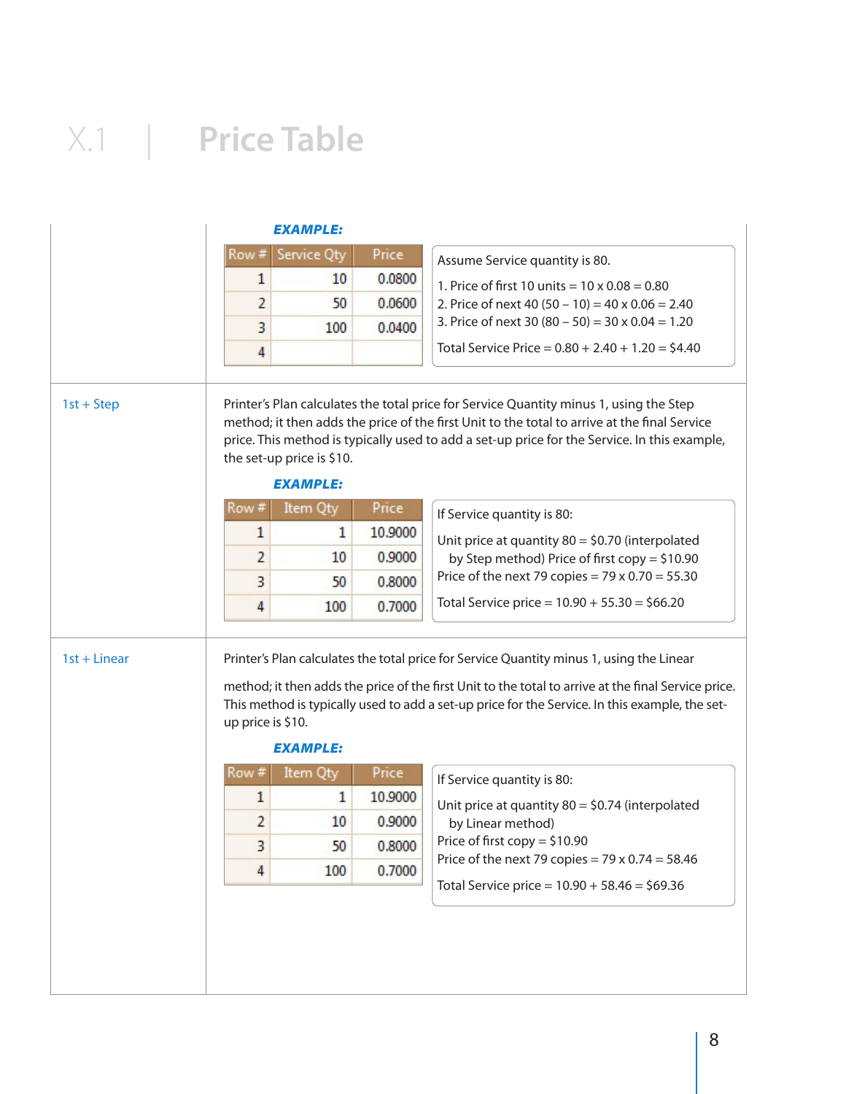| Service Qty<br>Price<br>10<br>0.0800<br>50<br>0.0600<br>0.0400<br>100<br>the set-up price is \$10.<br><b>EXAMPLE:</b><br>Item Qty<br><b>Price</b><br>10.9000<br>1<br>10<br>0.9000<br>0.8000<br>50<br>0.7000<br>100 |                                  | Assume Service quantity is 80.<br>1. Price of first 10 units = $10 \times 0.08 = 0.80$<br>2. Price of next 40 $(50 - 10) = 40 \times 0.06 = 2.40$<br>3. Price of next 30 (80 - 50) = 30 x 0.04 = 1.20<br>Total Service Price = $0.80 + 2.40 + 1.20 = $4.40$<br>Printer's Plan calculates the total price for Service Quantity minus 1, using the Step<br>method; it then adds the price of the first Unit to the total to arrive at the final Service<br>price. This method is typically used to add a set-up price for the Service. In this example,<br>If Service quantity is 80:<br>Unit price at quantity $80 = $0.70$ (interpolated<br>by Step method) Price of first copy = $$10.90$<br>Price of the next 79 copies = $79 \times 0.70 = 55.30$<br>Total Service price = $10.90 + 55.30 = $66.20$ |
|--------------------------------------------------------------------------------------------------------------------------------------------------------------------------------------------------------------------|----------------------------------|--------------------------------------------------------------------------------------------------------------------------------------------------------------------------------------------------------------------------------------------------------------------------------------------------------------------------------------------------------------------------------------------------------------------------------------------------------------------------------------------------------------------------------------------------------------------------------------------------------------------------------------------------------------------------------------------------------------------------------------------------------------------------------------------------------|
|                                                                                                                                                                                                                    |                                  |                                                                                                                                                                                                                                                                                                                                                                                                                                                                                                                                                                                                                                                                                                                                                                                                        |
|                                                                                                                                                                                                                    |                                  |                                                                                                                                                                                                                                                                                                                                                                                                                                                                                                                                                                                                                                                                                                                                                                                                        |
|                                                                                                                                                                                                                    |                                  |                                                                                                                                                                                                                                                                                                                                                                                                                                                                                                                                                                                                                                                                                                                                                                                                        |
|                                                                                                                                                                                                                    |                                  |                                                                                                                                                                                                                                                                                                                                                                                                                                                                                                                                                                                                                                                                                                                                                                                                        |
|                                                                                                                                                                                                                    |                                  |                                                                                                                                                                                                                                                                                                                                                                                                                                                                                                                                                                                                                                                                                                                                                                                                        |
|                                                                                                                                                                                                                    |                                  |                                                                                                                                                                                                                                                                                                                                                                                                                                                                                                                                                                                                                                                                                                                                                                                                        |
|                                                                                                                                                                                                                    |                                  |                                                                                                                                                                                                                                                                                                                                                                                                                                                                                                                                                                                                                                                                                                                                                                                                        |
|                                                                                                                                                                                                                    |                                  |                                                                                                                                                                                                                                                                                                                                                                                                                                                                                                                                                                                                                                                                                                                                                                                                        |
|                                                                                                                                                                                                                    |                                  |                                                                                                                                                                                                                                                                                                                                                                                                                                                                                                                                                                                                                                                                                                                                                                                                        |
|                                                                                                                                                                                                                    |                                  |                                                                                                                                                                                                                                                                                                                                                                                                                                                                                                                                                                                                                                                                                                                                                                                                        |
|                                                                                                                                                                                                                    |                                  |                                                                                                                                                                                                                                                                                                                                                                                                                                                                                                                                                                                                                                                                                                                                                                                                        |
| <b>EXAMPLE:</b>                                                                                                                                                                                                    |                                  | Printer's Plan calculates the total price for Service Quantity minus 1, using the Linear<br>method; it then adds the price of the first Unit to the total to arrive at the final Service price.<br>This method is typically used to add a set-up price for the Service. In this example, the set-                                                                                                                                                                                                                                                                                                                                                                                                                                                                                                      |
|                                                                                                                                                                                                                    |                                  |                                                                                                                                                                                                                                                                                                                                                                                                                                                                                                                                                                                                                                                                                                                                                                                                        |
|                                                                                                                                                                                                                    |                                  |                                                                                                                                                                                                                                                                                                                                                                                                                                                                                                                                                                                                                                                                                                                                                                                                        |
|                                                                                                                                                                                                                    |                                  | Unit price at quantity $80 = $0.74$ (interpolated                                                                                                                                                                                                                                                                                                                                                                                                                                                                                                                                                                                                                                                                                                                                                      |
|                                                                                                                                                                                                                    |                                  | Price of first copy = $$10.90$                                                                                                                                                                                                                                                                                                                                                                                                                                                                                                                                                                                                                                                                                                                                                                         |
|                                                                                                                                                                                                                    |                                  | Price of the next 79 copies = $79 \times 0.74 = 58.46$                                                                                                                                                                                                                                                                                                                                                                                                                                                                                                                                                                                                                                                                                                                                                 |
|                                                                                                                                                                                                                    |                                  | Total Service price = $10.90 + 58.46 = $69.36$                                                                                                                                                                                                                                                                                                                                                                                                                                                                                                                                                                                                                                                                                                                                                         |
|                                                                                                                                                                                                                    | Item Qty<br>1<br>10<br>50<br>100 | <b>Price</b><br>If Service quantity is 80:<br>10.9000<br>0.9000<br>by Linear method)<br>0.8000<br>0.7000                                                                                                                                                                                                                                                                                                                                                                                                                                                                                                                                                                                                                                                                                               |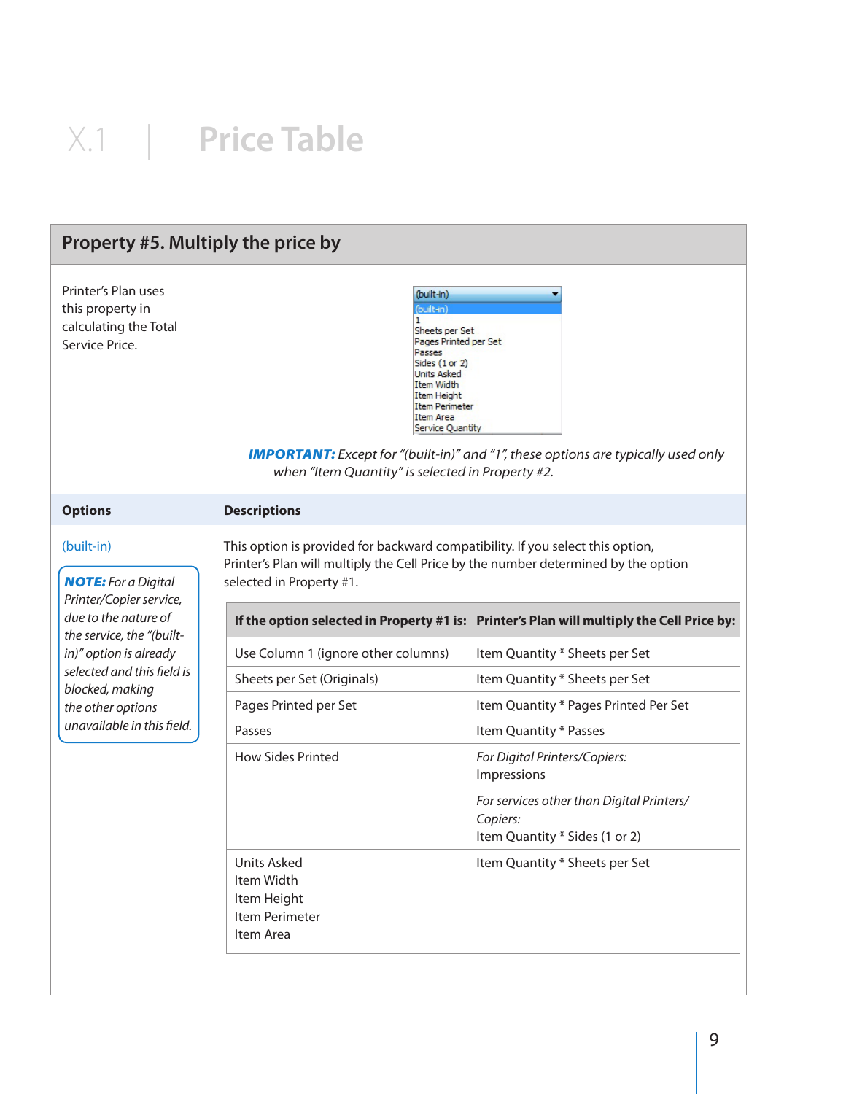| Property #5. Multiply the price by                                                                                                                                                                                                                     |                                                                                                                                                                                                                                                                                                                                                                                   |                                                                                                                                                                                                                                                                                                                                   |  |  |  |  |
|--------------------------------------------------------------------------------------------------------------------------------------------------------------------------------------------------------------------------------------------------------|-----------------------------------------------------------------------------------------------------------------------------------------------------------------------------------------------------------------------------------------------------------------------------------------------------------------------------------------------------------------------------------|-----------------------------------------------------------------------------------------------------------------------------------------------------------------------------------------------------------------------------------------------------------------------------------------------------------------------------------|--|--|--|--|
| Printer's Plan uses<br>this property in<br>calculating the Total<br>Service Price.                                                                                                                                                                     | (built-in)<br>(built-in)<br>Sheets per Set<br>Pages Printed per Set<br>Passes<br>Sides $(1 or 2)$<br><b>Units Asked</b><br>Item Width<br>Item Height<br><b>Item Perimeter</b><br>Item Area<br><b>Service Quantity</b><br>when "Item Quantity" is selected in Property #2.                                                                                                         | <b>IMPORTANT:</b> Except for "(built-in)" and "1", these options are typically used only                                                                                                                                                                                                                                          |  |  |  |  |
| <b>Options</b>                                                                                                                                                                                                                                         | <b>Descriptions</b>                                                                                                                                                                                                                                                                                                                                                               |                                                                                                                                                                                                                                                                                                                                   |  |  |  |  |
| (built-in)<br><b>NOTE:</b> For a Digital<br>Printer/Copier service,<br>due to the nature of<br>the service, the "(built-<br>in)" option is already<br>selected and this field is<br>blocked, making<br>the other options<br>unavailable in this field. | This option is provided for backward compatibility. If you select this option,<br>Printer's Plan will multiply the Cell Price by the number determined by the option<br>selected in Property #1.<br>If the option selected in Property #1 is:<br>Use Column 1 (ignore other columns)<br>Sheets per Set (Originals)<br>Pages Printed per Set<br>Passes<br><b>How Sides Printed</b> | Printer's Plan will multiply the Cell Price by:<br>Item Quantity * Sheets per Set<br>Item Quantity * Sheets per Set<br>Item Quantity * Pages Printed Per Set<br>Item Quantity * Passes<br>For Digital Printers/Copiers:<br>Impressions<br>For services other than Digital Printers/<br>Copiers:<br>Item Quantity * Sides (1 or 2) |  |  |  |  |
|                                                                                                                                                                                                                                                        | <b>Units Asked</b><br>Item Width<br>Item Height<br>Item Perimeter<br>Item Area                                                                                                                                                                                                                                                                                                    | Item Quantity * Sheets per Set                                                                                                                                                                                                                                                                                                    |  |  |  |  |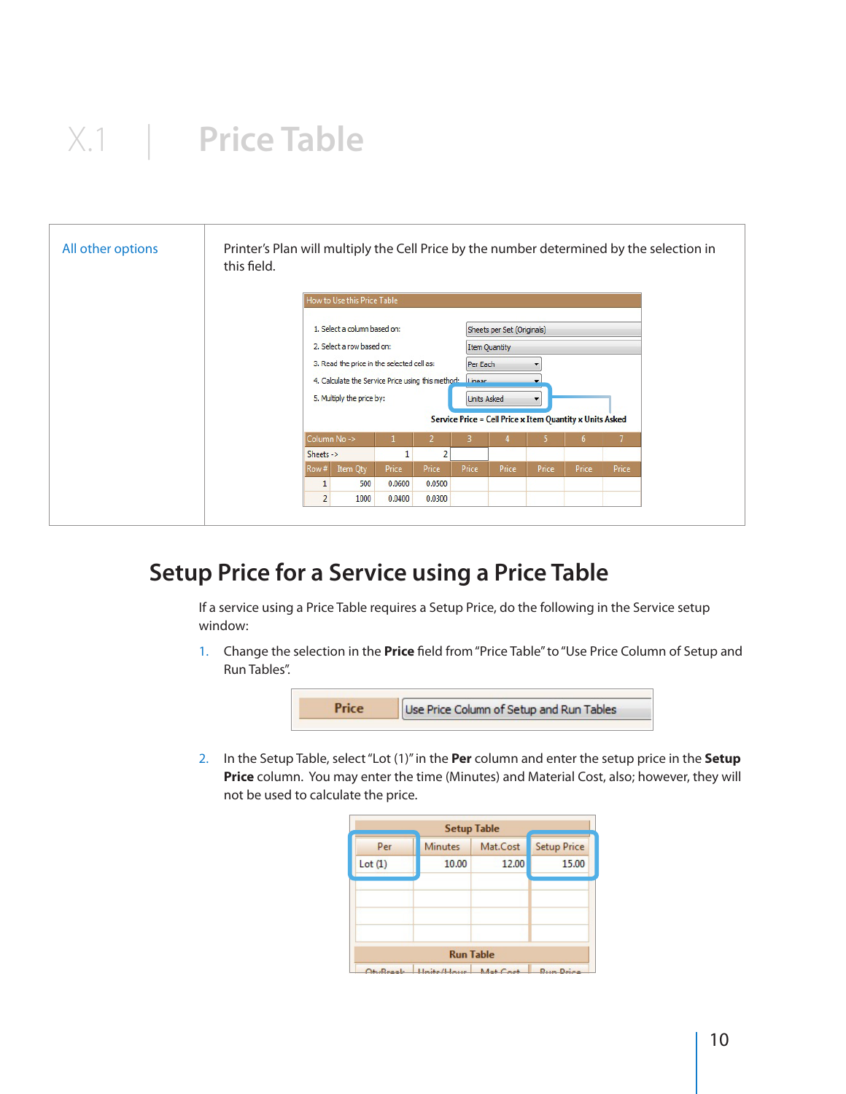| All other options | Printer's Plan will multiply the Cell Price by the number determined by the selection in<br>this field.<br>How to Use this Price Table |                                                                                                                                                                                                                                                                                                                                                           |                 |       |       |       |       |       |  |
|-------------------|----------------------------------------------------------------------------------------------------------------------------------------|-----------------------------------------------------------------------------------------------------------------------------------------------------------------------------------------------------------------------------------------------------------------------------------------------------------------------------------------------------------|-----------------|-------|-------|-------|-------|-------|--|
|                   |                                                                                                                                        | 1. Select a column based on:<br>Sheets per Set (Originals)<br>2. Select a row based on:<br><b>Item Quantity</b><br>3. Read the price in the selected cell as:<br>Per Each<br>4. Calculate the Service Price using this method: Linear<br>5. Multiply the price by:<br><b>Units Asked</b><br>▼<br>Service Price = Cell Price x Item Quantity x Units Asked |                 |       |       |       |       |       |  |
|                   | Column No ->                                                                                                                           |                                                                                                                                                                                                                                                                                                                                                           |                 |       |       |       | 6.    |       |  |
|                   | Sheets $\rightarrow$                                                                                                                   |                                                                                                                                                                                                                                                                                                                                                           | $\overline{2}$  |       |       |       |       |       |  |
|                   | Row#<br>Item Qty<br>500                                                                                                                | Price<br>0.0600                                                                                                                                                                                                                                                                                                                                           | Price<br>0.0500 | Price | Price | Price | Price | Price |  |
|                   | $\overline{2}$<br>1000                                                                                                                 | 0.0400                                                                                                                                                                                                                                                                                                                                                    | 0.0300          |       |       |       |       |       |  |
|                   |                                                                                                                                        |                                                                                                                                                                                                                                                                                                                                                           |                 |       |       |       |       |       |  |

### **Setup Price for a Service using a Price Table**

If a service using a Price Table requires a Setup Price, do the following in the Service setup window:

1. Change the selection in the **Price** field from "Price Table" to "Use Price Column of Setup and Run Tables".



2. In the Setup Table, select "Lot (1)" in the **Per** column and enter the setup price in the **Setup Price** column. You may enter the time (Minutes) and Material Cost, also; however, they will not be used to calculate the price.

|                     |                | <b>Setup Table</b>  |                                   |
|---------------------|----------------|---------------------|-----------------------------------|
| Per                 | <b>Minutes</b> | Mat.Cost            | <b>Setup Price</b>                |
| Lot(1)              | 10.00          | 12.00               | 15.00                             |
|                     |                |                     |                                   |
|                     |                |                     |                                   |
|                     |                |                     |                                   |
|                     |                |                     |                                   |
|                     |                | <b>Run Table</b>    |                                   |
| $Q_+$ , $Q_+$ , $L$ | $\Box$         | $M_{n+1}$ $C_{n-1}$ | $D_{\text{max}}$ $D_{\text{max}}$ |